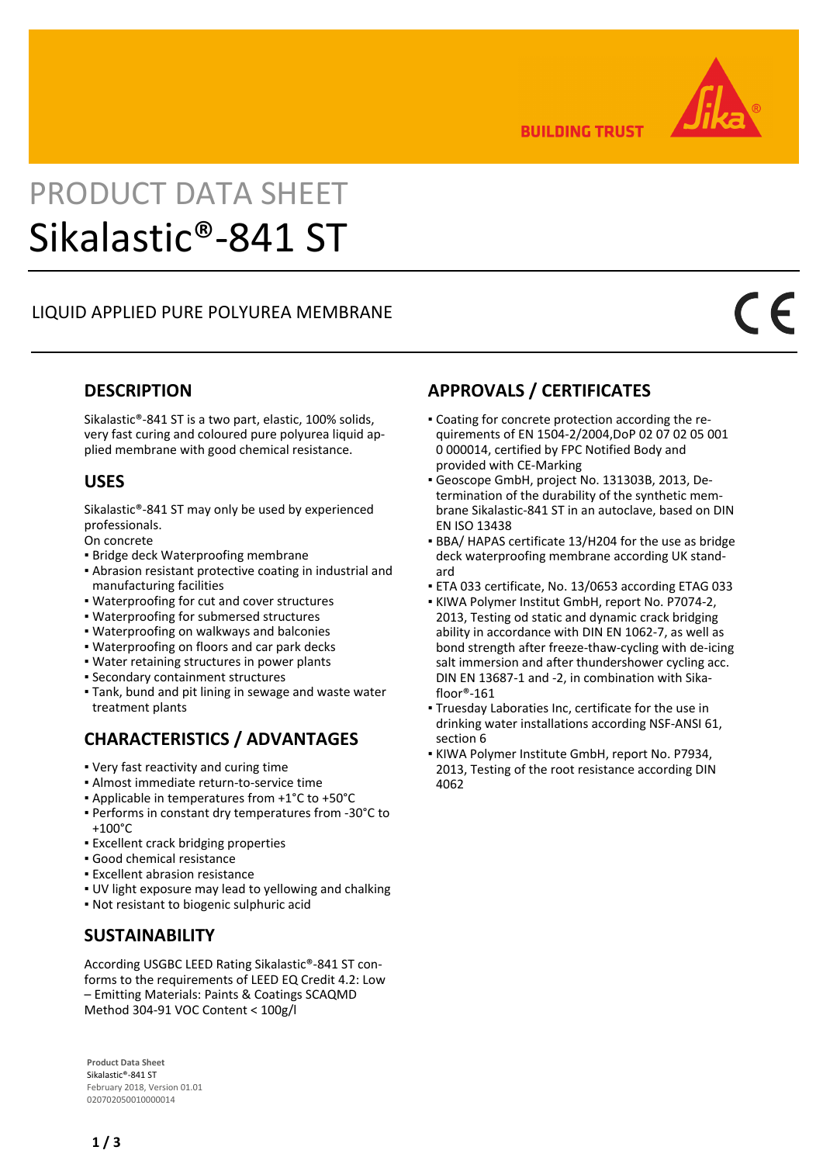

**BUILDING TRUST** 

# PRODUCT DATA SHEET Sikalastic®-841 ST

### LIQUID APPLIED PURE POLYUREA MEMBRANE

#### **DESCRIPTION**

Sikalastic®-841 ST is a two part, elastic, 100% solids, very fast curing and coloured pure polyurea liquid applied membrane with good chemical resistance.

#### **USES**

Sikalastic®-841 ST may only be used by experienced professionals.

On concrete

- **· Bridge deck Waterproofing membrane**
- **Abrasion resistant protective coating in industrial and** manufacturing facilities
- Waterproofing for cut and cover structures
- Waterproofing for submersed structures
- Waterproofing on walkways and balconies
- Waterproofing on floors and car park decks
- Water retaining structures in power plants
- Secondary containment structures
- Tank, bund and pit lining in sewage and waste water treatment plants

# **CHARACTERISTICS / ADVANTAGES**

- Very fast reactivity and curing time
- Almost immediate return-to-service time
- Applicable in temperatures from +1°C to +50°C
- **Performs in constant dry temperatures from -30°C to** +100°C
- **Excellent crack bridging properties**
- Good chemical resistance
- **Excellent abrasion resistance**
- UV light exposure may lead to yellowing and chalking
- Not resistant to biogenic sulphuric acid

### **SUSTAINABILITY**

According USGBC LEED Rating Sikalastic®-841 ST conforms to the requirements of LEED EQ Credit 4.2: Low – Emitting Materials: Paints & Coatings SCAQMD Method 304-91 VOC Content < 100g/l

**Product Data Sheet** Sikalastic®-841 ST February 2018, Version 01.01 020702050010000014

# **APPROVALS / CERTIFICATES**

- Coating for concrete protection according the re-▪ quirements of EN 1504-2/2004,DoP 02 07 02 05 001 0 000014, certified by FPC Notified Body and provided with CE-Marking
- Geoscope GmbH, project No. 131303B, 2013, De-▪ termination of the durability of the synthetic membrane Sikalastic-841 ST in an autoclave, based on DIN EN ISO 13438
- BBA/ HAPAS certificate 13/H204 for the use as bridge deck waterproofing membrane according UK standard
- ETA 033 certificate, No. 13/0653 according ETAG 033
- KIWA Polymer Institut GmbH, report No. P7074-2, 2013, Testing od static and dynamic crack bridging ability in accordance with DIN EN 1062-7, as well as bond strength after freeze-thaw-cycling with de-icing salt immersion and after thundershower cycling acc. DIN EN 13687-1 and -2, in combination with Sikafloor®-161
- Truesday Laboraties Inc, certificate for the use in drinking water installations according NSF-ANSI 61, section 6
- KIWA Polymer Institute GmbH, report No. P7934, 2013, Testing of the root resistance according DIN 4062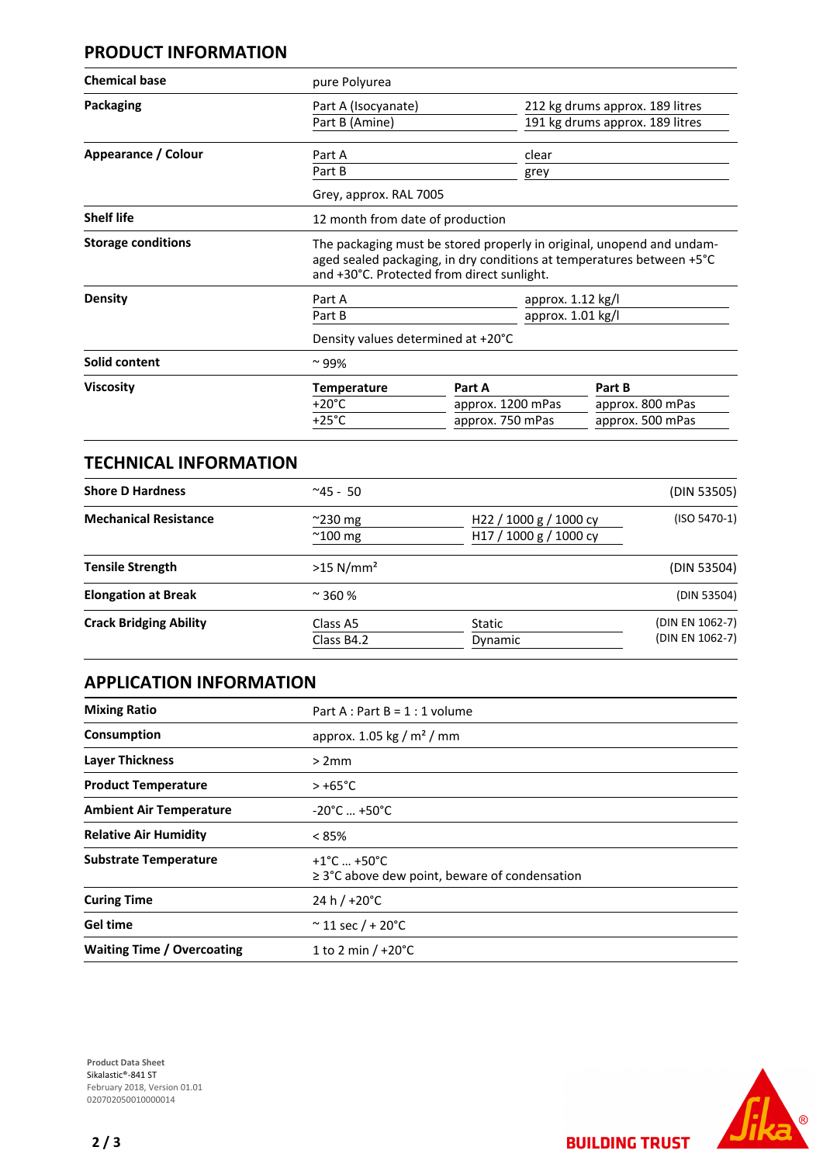#### **PRODUCT INFORMATION**

| <b>Chemical base</b>      | pure Polyurea                                                                                                                                                                                |                                                 |                                                                    |  |
|---------------------------|----------------------------------------------------------------------------------------------------------------------------------------------------------------------------------------------|-------------------------------------------------|--------------------------------------------------------------------|--|
| Packaging                 | Part A (Isocyanate)<br>Part B (Amine)                                                                                                                                                        |                                                 | 212 kg drums approx. 189 litres<br>191 kg drums approx. 189 litres |  |
| Appearance / Colour       | Part A<br>Part B<br>Grey, approx. RAL 7005                                                                                                                                                   | clear<br>grey                                   |                                                                    |  |
| <b>Shelf life</b>         | 12 month from date of production                                                                                                                                                             |                                                 |                                                                    |  |
| <b>Storage conditions</b> | The packaging must be stored properly in original, unopend and undam-<br>aged sealed packaging, in dry conditions at temperatures between +5°C<br>and +30°C. Protected from direct sunlight. |                                                 |                                                                    |  |
| <b>Density</b>            | approx. $1.12$ kg/l<br>Part A<br>approx. 1.01 kg/l<br>Part B<br>Density values determined at +20°C                                                                                           |                                                 |                                                                    |  |
| Solid content             | $\sim$ 99%                                                                                                                                                                                   |                                                 |                                                                    |  |
| <b>Viscosity</b>          | <b>Temperature</b><br>$+20^{\circ}$ C<br>$+25^{\circ}$ C                                                                                                                                     | Part A<br>approx. 1200 mPas<br>approx. 750 mPas | Part B<br>approx. 800 mPas<br>approx. 500 mPas                     |  |

| <b>TECHNICAL INFORMATION</b>  |                                      |                                                                          |                                    |  |
|-------------------------------|--------------------------------------|--------------------------------------------------------------------------|------------------------------------|--|
| <b>Shore D Hardness</b>       | $^{\sim}45 - 50$                     |                                                                          | (DIN 53505)                        |  |
| <b>Mechanical Resistance</b>  | $\approx$ 230 mg<br>$^{\sim}$ 100 mg | H <sub>22</sub> / 1000 g / 1000 cy<br>H <sub>17</sub> / 1000 g / 1000 cy | $(ISO 5470-1)$                     |  |
| <b>Tensile Strength</b>       | $>15$ N/mm <sup>2</sup>              |                                                                          | (DIN 53504)                        |  |
| <b>Elongation at Break</b>    | $~\sim$ 360 %                        |                                                                          | (DIN 53504)                        |  |
| <b>Crack Bridging Ability</b> | Class A5                             | Static                                                                   | (DIN EN 1062-7)<br>(DIN EN 1062-7) |  |
|                               | Class B4.2                           | Dynamic                                                                  |                                    |  |

## **APPLICATION INFORMATION**

| <b>Mixing Ratio</b>               | Part A : Part B = $1:1$ volume                                                       |  |  |
|-----------------------------------|--------------------------------------------------------------------------------------|--|--|
| Consumption                       | approx. 1.05 kg / $m2$ / mm                                                          |  |  |
| <b>Layer Thickness</b>            | >2mm                                                                                 |  |  |
| <b>Product Temperature</b>        | $> +65^{\circ}$ C                                                                    |  |  |
| <b>Ambient Air Temperature</b>    | $-20^{\circ}$ C $+50^{\circ}$ C                                                      |  |  |
| <b>Relative Air Humidity</b>      | $< 85\%$                                                                             |  |  |
| <b>Substrate Temperature</b>      | $+1^{\circ}$ C $+50^{\circ}$ C<br>$\geq$ 3°C above dew point, beware of condensation |  |  |
| <b>Curing Time</b>                | 24 h $/$ +20 $^{\circ}$ C                                                            |  |  |
| <b>Gel time</b>                   | $~^{\circ}$ 11 sec / + 20 $^{\circ}$ C                                               |  |  |
| <b>Waiting Time / Overcoating</b> | 1 to 2 min $/ +20^{\circ}$ C                                                         |  |  |





**BUILDING TRUST**